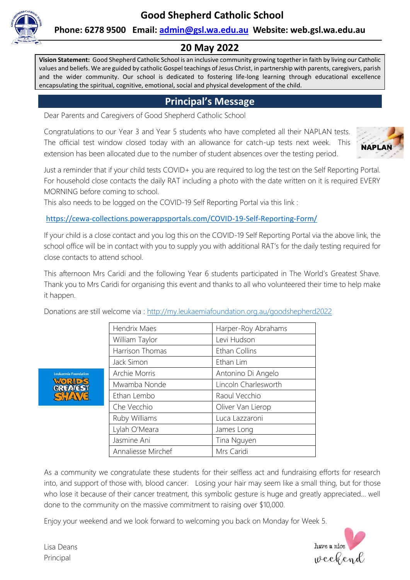

### **Phone: 6278 9500 Email: [admin@gsl.wa.edu.au](mailto:admin@gsl.wa.edu.au) Website: web.gsl.wa.edu.au**

## **20 May 2022**

**Vision Statement:** Good Shepherd Catholic School is an inclusive community growing together in faith by living our Catholic values and beliefs. We are guided by catholic Gospel teachings of Jesus Christ, in partnership with parents, caregivers, parish and the wider community. Our school is dedicated to fostering life-long learning through educational excellence encapsulating the spiritual, cognitive, emotional, social and physical development of the child.

## **Principal's Message**

Dear Parents and Caregivers of Good Shepherd Catholic School

Congratulations to our Year 3 and Year 5 students who have completed all their NAPLAN tests. The official test window closed today with an allowance for catch-up tests next week. This extension has been allocated due to the number of student absences over the testing period.



Just a reminder that if your child tests COVID+ you are required to log the test on the Self Reporting Portal. For household close contacts the daily RAT including a photo with the date written on it is required EVERY MORNING before coming to school.

This also needs to be logged on the COVID-19 Self Reporting Portal via this link :

[https://cewa-collections.powerappsportals.com/COVID-19-Self-Reporting-Form/](https://aus01.safelinks.protection.outlook.com/?url=https%3A%2F%2Fcewa-collections.powerappsportals.com%2FCOVID-19-Self-Reporting-Form%2F&data=04%7C01%7Cadmin%40gsl.wa.edu.au%7C387fc9cdbf30476e9a6608da16ae4e13%7Cc5852f2336334f29b38651da53e35e23%7C0%7C0%7C637847235717401539%7CUnknown%7CTWFpbGZsb3d8eyJWIjoiMC4wLjAwMDAiLCJQIjoiV2luMzIiLCJBTiI6Ik1haWwiLCJXVCI6Mn0%3D%7C0&sdata=h09YD8y4D7Jb22m3tQCuAKh7vg%2BBh9JpxwY0Q66OXdI%3D&reserved=0)

If your child is a close contact and you log this on the COVID-19 Self Reporting Portal via the above link, the school office will be in contact with you to supply you with additional RAT's for the daily testing required for close contacts to attend school.

This afternoon Mrs Caridi and the following Year 6 students participated in The World's Greatest Shave. Thank you to Mrs Caridi for organising this event and thanks to all who volunteered their time to help make it happen.

Donations are still welcome via :<http://my.leukaemiafoundation.org.au/goodshepherd2022>

| Hendrix Maes       | Harper-Roy Abrahams  |
|--------------------|----------------------|
| William Taylor     | Levi Hudson          |
| Harrison Thomas    | Ethan Collins        |
| Jack Simon         | Ethan Lim            |
| Archie Morris      | Antonino Di Angelo   |
| Mwamba Nonde       | Lincoln Charlesworth |
| Ethan Lembo        | Raoul Vecchio        |
| Che Vecchio        | Oliver Van Lierop    |
| Ruby Williams      | Luca Lazzaroni       |
| Lylah O'Meara      | James Long           |
| Jasmine Ani        | Tina Nguyen          |
| Annaliesse Mirchef | Mrs Caridi           |

As a community we congratulate these students for their selfless act and fundraising efforts for research into, and support of those with, blood cancer. Losing your hair may seem like a small thing, but for those who lose it because of their cancer treatment, this symbolic gesture is huge and greatly appreciated... well done to the community on the massive commitment to raising over \$10,000.

Enjoy your weekend and we look forward to welcoming you back on Monday for Week 5.



Lisa Deans Principal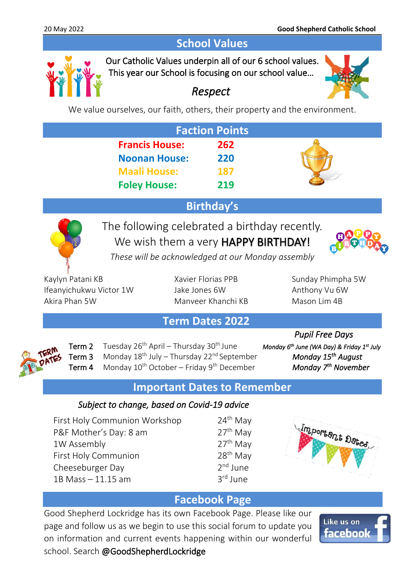# **School Values**



Our Catholic Values underpin all of our 6 school values. This year our School is focusing on our school value…



# *Respect*

We value ourselves, our faith, others, their property and the environment.

| <b>Faction Points</b> |     |  |
|-----------------------|-----|--|
| <b>Francis House:</b> | 262 |  |
| <b>Noonan House:</b>  | 220 |  |
| <b>Maali House:</b>   | 187 |  |
| <b>Foley House:</b>   | 219 |  |

# **Birthday's**



The following celebrated a birthday recently. We wish them a very **HAPPY BIRTHDAY!** 



*These will be acknowledged at our Monday assembly*

Kaylyn Patani KB Xavier Florias PPB Sunday Phimpha 5W Ifeanyichukwu Victor 1W Jake Jones 6W Anthony Vu 6W Akira Phan 5W Manveer Khanchi KB Mason Lim 4B

# **Term Dates 2022**



Term 2 Tuesday 26<sup>th</sup> April – Thursday 30<sup>th</sup> June Term 3 Monday 18<sup>th</sup> July – Thursday 22<sup>nd</sup> September Term 4 Monday 10<sup>th</sup> October – Friday 9<sup>th</sup> December

 *Pupil Free Days June (WA Day) & Friday 1<sup>st</sup> July August Monday* 7<sup>th</sup> November

# **Important Dates to Remember**

### *Subject to change, based on Covid-19 advice*

First Holy Communion Workshop 24<sup>th</sup> May P&F Mother's Day: 8 am  $27<sup>th</sup>$  May 1W Assembly  $27<sup>th</sup>$  May First Holy Communion 28<sup>th</sup> May Cheeseburger Day 2 1B Mass – 11.15 am 3





# **Facebook Page**

Good Shepherd Lockridge has its own Facebook Page. Please like our page and follow us as we begin to use this social forum to update you on information and current events happening within our wonderful school. Search @GoodShepherdLockridge

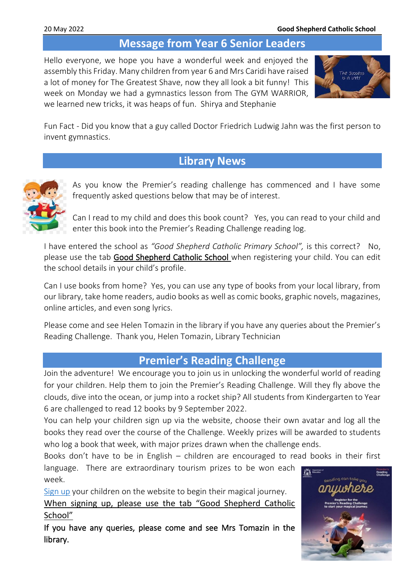# **Message from Year 6 Senior Leaders**

Hello everyone, we hope you have a wonderful week and enjoyed the assembly this Friday. Many children from year 6 and Mrs Caridi have raised a lot of money for The Greatest Shave, now they all look a bit funny! This week on Monday we had a gymnastics lesson from The GYM WARRIOR, we learned new tricks, it was heaps of fun. Shirya and Stephanie



Fun Fact - Did you know that a guy called Doctor Friedrich Ludwig Jahn was the first person to invent gymnastics.

### **Library News**



As you know the Premier's reading challenge has commenced and I have some frequently asked questions below that may be of interest.

Can I read to my child and does this book count? Yes, you can read to your child and enter this book into the Premier's Reading Challenge reading log.

I have entered the school as *"Good Shepherd Catholic Primary School",* is this correct? No, please use the tab Good Shepherd Catholic School when registering your child. You can edit the school details in your child's profile.

Can I use books from home? Yes, you can use any type of books from your local library, from our library, take home readers, audio books as well as comic books, graphic novels, magazines, online articles, and even song lyrics.

Please come and see Helen Tomazin in the library if you have any queries about the Premier's Reading Challenge. Thank you, Helen Tomazin, Library Technician

### **Premier's Reading Challenge**

Join the adventure! We encourage you to join us in unlocking the wonderful world of reading for your children. Help them to join the Premier's Reading Challenge. Will they fly above the clouds, dive into the ocean, or jump into a rocket ship? All students from Kindergarten to Year 6 are challenged to read 12 books by 9 September 2022.

You can help your children sign up via the website, choose their own avatar and log all the books they read over the course of the Challenge. Weekly prizes will be awarded to students who log a book that week, with major prizes drawn when the challenge ends.

Books don't have to be in English – children are encouraged to read books in their first

language. There are extraordinary tourism prizes to be won each week.

[Sign up](https://www.premiersreadingchallenge.wa.edu.au/) your children on the website to begin their magical journey.

When signing up, please use the tab "Good Shepherd Catholic School"

If you have any queries, please come and see Mrs Tomazin in the library.

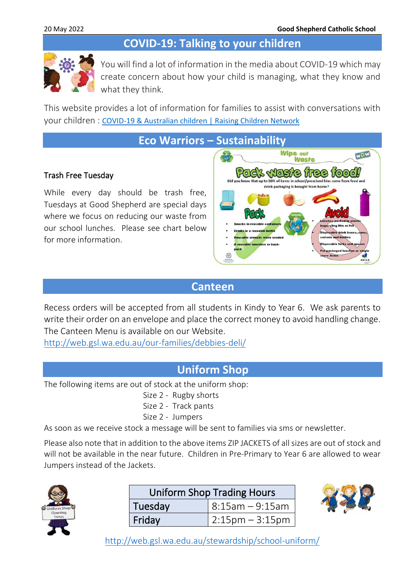# **COVID-19: Talking to your children**



You will find a lot of information in the media about COVID-19 which may create concern about how your child is managing, what they know and what they think.

This website provides a lot of information for families to assist with conversations with your children : [COVID-19 & Australian children | Raising Children Network](https://raisingchildren.net.au/guides/a-z-health-reference/coronavirus-and-children-in-australia#talking-with-children-about-covid-19-nav-title)

**Eco Warriors – Sustainability** 

#### Trash Free Tuesday

While every day should be trash free, Tuesdays at Good Shepherd are special days where we focus on reducing our waste from our school lunches. Please see chart below for more information.



## **Canteen**

Recess orders will be accepted from all students in Kindy to Year 6. We ask parents to write their order on an envelope and place the correct money to avoid handling change. The Canteen Menu is available on our Website.

<http://web.gsl.wa.edu.au/our-families/debbies-deli/>

# **Uniform Shop**

The following items are out of stock at the uniform shop:

- Size 2 Rugby shorts
- Size 2 Track pants
- Size 2 Jumpers

As soon as we receive stock a message will be sent to families via sms or newsletter.

Please also note that in addition to the above items ZIP JACKETS of all sizes are out of stock and will not be available in the near future. Children in Pre-Primary to Year 6 are allowed to wear Jumpers instead of the Jackets.



| <b>Uniform Shop Trading Hours</b> |                      |  |
|-----------------------------------|----------------------|--|
| Tuesday                           | 8:15am – 9:15am      |  |
| Friday                            | $2:15$ pm $-3:15$ pm |  |

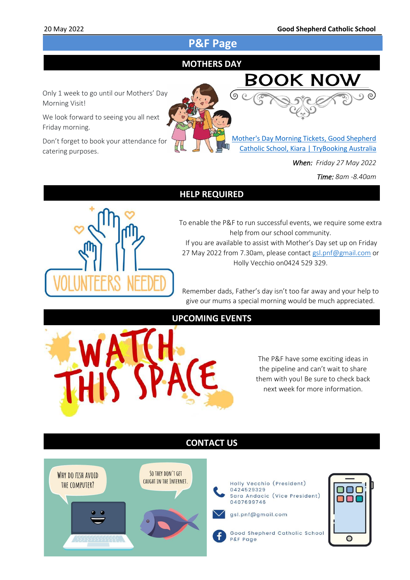# **P&F Page**

#### I **MOTHERS DAY**



We look forward to seeing you all next Friday morning.

Don't forget to book your attendance for catering purposes.



[Mother's Day Morning Tickets, Good Shepherd](https://www.trybooking.com/events/landing?eid=904668&)  [Catholic School, Kiara | TryBooking Australia](https://www.trybooking.com/events/landing?eid=904668&)

*When: Friday 27 May 2022* 

*Time: 8am -8.40am*

ര)

#### **HELP REQUIRED**



To enable the P&F to run successful events, we require some extra help from our school community. If you are available to assist with Mother's Day set up on Friday 27 May 2022 from 7.30am, please contact [gsl.pnf@gmail.com](mailto:gsl.pnf@gmail.com) or Holly Vecchio on0424 529 329.

Remember dads, Father's day isn't too far away and your help to give our mums a special morning would be much appreciated.

#### **UPCOMING EVENTS**

The P&F have some exciting ideas in the pipeline and can't wait to share them with you! Be sure to check back next week for more information.

### **CONTACT US**